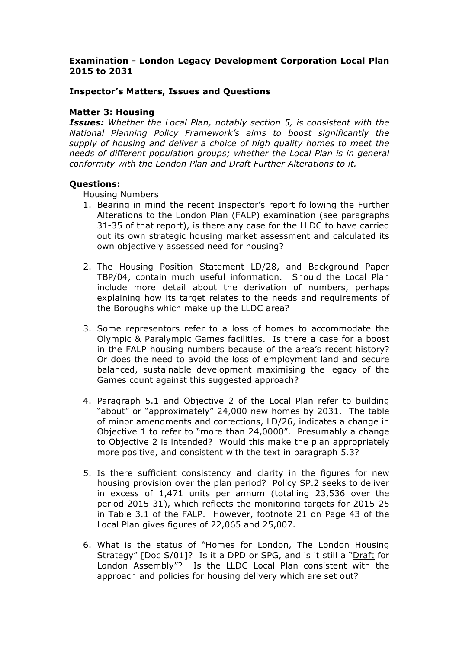## **Examination - London Legacy Development Corporation Local Plan 2015 to 2031**

## **Inspector's Matters, Issues and Questions**

### **Matter 3: Housing**

*Issues: Whether the Local Plan, notably section 5, is consistent with the National Planning Policy Framework's aims to boost significantly the supply of housing and deliver a choice of high quality homes to meet the needs of different population groups; whether the Local Plan is in general conformity with the London Plan and Draft Further Alterations to it.*

#### **Questions:**

Housing Numbers

- 1. Bearing in mind the recent Inspector's report following the Further Alterations to the London Plan (FALP) examination (see paragraphs 31-35 of that report), is there any case for the LLDC to have carried out its own strategic housing market assessment and calculated its own objectively assessed need for housing?
- 2. The Housing Position Statement LD/28, and Background Paper TBP/04, contain much useful information. Should the Local Plan include more detail about the derivation of numbers, perhaps explaining how its target relates to the needs and requirements of the Boroughs which make up the LLDC area?
- 3. Some representors refer to a loss of homes to accommodate the Olympic & Paralympic Games facilities. Is there a case for a boost in the FALP housing numbers because of the area's recent history? Or does the need to avoid the loss of employment land and secure balanced, sustainable development maximising the legacy of the Games count against this suggested approach?
- 4. Paragraph 5.1 and Objective 2 of the Local Plan refer to building "about" or "approximately" 24,000 new homes by 2031. The table of minor amendments and corrections, LD/26, indicates a change in Objective 1 to refer to "more than 24,0000". Presumably a change to Objective 2 is intended? Would this make the plan appropriately more positive, and consistent with the text in paragraph 5.3?
- 5. Is there sufficient consistency and clarity in the figures for new housing provision over the plan period? Policy SP.2 seeks to deliver in excess of 1,471 units per annum (totalling 23,536 over the period 2015-31), which reflects the monitoring targets for 2015-25 in Table 3.1 of the FALP. However, footnote 21 on Page 43 of the Local Plan gives figures of 22,065 and 25,007.
- 6. What is the status of "Homes for London, The London Housing Strategy" [Doc S/01]? Is it a DPD or SPG, and is it still a "Draft for London Assembly"? Is the LLDC Local Plan consistent with the approach and policies for housing delivery which are set out?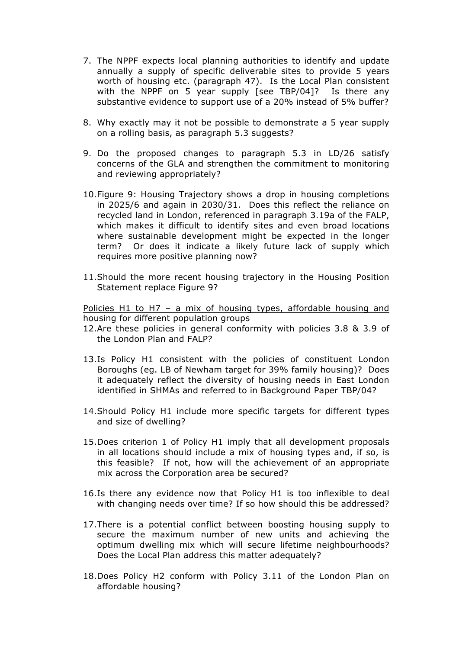- 7. The NPPF expects local planning authorities to identify and update annually a supply of specific deliverable sites to provide 5 years worth of housing etc. (paragraph 47). Is the Local Plan consistent with the NPPF on 5 year supply [see TBP/04]? Is there any substantive evidence to support use of a 20% instead of 5% buffer?
- 8. Why exactly may it not be possible to demonstrate a 5 year supply on a rolling basis, as paragraph 5.3 suggests?
- 9. Do the proposed changes to paragraph 5.3 in LD/26 satisfy concerns of the GLA and strengthen the commitment to monitoring and reviewing appropriately?
- 10.Figure 9: Housing Trajectory shows a drop in housing completions in 2025/6 and again in 2030/31. Does this reflect the reliance on recycled land in London, referenced in paragraph 3.19a of the FALP, which makes it difficult to identify sites and even broad locations where sustainable development might be expected in the longer term? Or does it indicate a likely future lack of supply which requires more positive planning now?
- 11.Should the more recent housing trajectory in the Housing Position Statement replace Figure 9?

Policies H1 to H7 – a mix of housing types, affordable housing and housing for different population groups

- 12.Are these policies in general conformity with policies 3.8 & 3.9 of the London Plan and FALP?
- 13.Is Policy H1 consistent with the policies of constituent London Boroughs (eg. LB of Newham target for 39% family housing)? Does it adequately reflect the diversity of housing needs in East London identified in SHMAs and referred to in Background Paper TBP/04?
- 14.Should Policy H1 include more specific targets for different types and size of dwelling?
- 15.Does criterion 1 of Policy H1 imply that all development proposals in all locations should include a mix of housing types and, if so, is this feasible? If not, how will the achievement of an appropriate mix across the Corporation area be secured?
- 16.Is there any evidence now that Policy H1 is too inflexible to deal with changing needs over time? If so how should this be addressed?
- 17.There is a potential conflict between boosting housing supply to secure the maximum number of new units and achieving the optimum dwelling mix which will secure lifetime neighbourhoods? Does the Local Plan address this matter adequately?
- 18.Does Policy H2 conform with Policy 3.11 of the London Plan on affordable housing?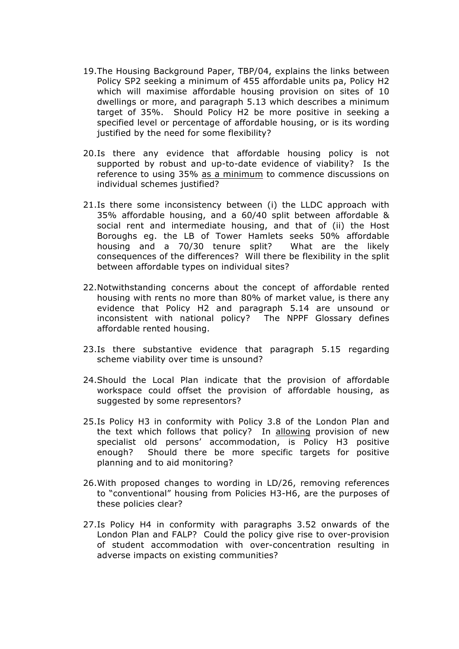- 19.The Housing Background Paper, TBP/04, explains the links between Policy SP2 seeking a minimum of 455 affordable units pa, Policy H2 which will maximise affordable housing provision on sites of 10 dwellings or more, and paragraph 5.13 which describes a minimum target of 35%. Should Policy H2 be more positive in seeking a specified level or percentage of affordable housing, or is its wording justified by the need for some flexibility?
- 20.Is there any evidence that affordable housing policy is not supported by robust and up-to-date evidence of viability? Is the reference to using 35% as a minimum to commence discussions on individual schemes justified?
- 21.Is there some inconsistency between (i) the LLDC approach with 35% affordable housing, and a 60/40 split between affordable & social rent and intermediate housing, and that of (ii) the Host Boroughs eg. the LB of Tower Hamlets seeks 50% affordable housing and a 70/30 tenure split? What are the likely consequences of the differences? Will there be flexibility in the split between affordable types on individual sites?
- 22.Notwithstanding concerns about the concept of affordable rented housing with rents no more than 80% of market value, is there any evidence that Policy H2 and paragraph 5.14 are unsound or inconsistent with national policy? The NPPF Glossary defines affordable rented housing.
- 23.Is there substantive evidence that paragraph 5.15 regarding scheme viability over time is unsound?
- 24.Should the Local Plan indicate that the provision of affordable workspace could offset the provision of affordable housing, as suggested by some representors?
- 25.Is Policy H3 in conformity with Policy 3.8 of the London Plan and the text which follows that policy? In allowing provision of new specialist old persons' accommodation, is Policy H3 positive enough? Should there be more specific targets for positive planning and to aid monitoring?
- 26.With proposed changes to wording in LD/26, removing references to "conventional" housing from Policies H3-H6, are the purposes of these policies clear?
- 27.Is Policy H4 in conformity with paragraphs 3.52 onwards of the London Plan and FALP? Could the policy give rise to over-provision of student accommodation with over-concentration resulting in adverse impacts on existing communities?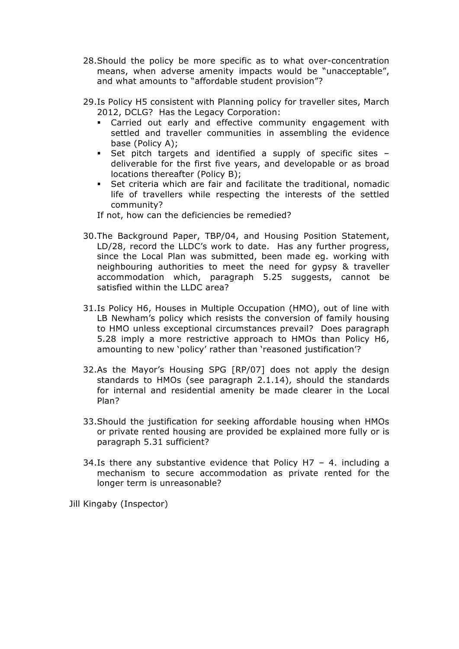- 28.Should the policy be more specific as to what over-concentration means, when adverse amenity impacts would be "unacceptable", and what amounts to "affordable student provision"?
- 29.Is Policy H5 consistent with Planning policy for traveller sites, March 2012, DCLG? Has the Legacy Corporation:
	- § Carried out early and effective community engagement with settled and traveller communities in assembling the evidence base (Policy A);
	- Set pitch targets and identified a supply of specific sites deliverable for the first five years, and developable or as broad locations thereafter (Policy B);
	- § Set criteria which are fair and facilitate the traditional, nomadic life of travellers while respecting the interests of the settled community?

If not, how can the deficiencies be remedied?

- 30.The Background Paper, TBP/04, and Housing Position Statement, LD/28, record the LLDC's work to date. Has any further progress, since the Local Plan was submitted, been made eg. working with neighbouring authorities to meet the need for gypsy & traveller accommodation which, paragraph 5.25 suggests, cannot be satisfied within the LLDC area?
- 31.Is Policy H6, Houses in Multiple Occupation (HMO), out of line with LB Newham's policy which resists the conversion of family housing to HMO unless exceptional circumstances prevail? Does paragraph 5.28 imply a more restrictive approach to HMOs than Policy H6, amounting to new 'policy' rather than 'reasoned justification'?
- 32.As the Mayor's Housing SPG [RP/07] does not apply the design standards to HMOs (see paragraph 2.1.14), should the standards for internal and residential amenity be made clearer in the Local Plan?
- 33.Should the justification for seeking affordable housing when HMOs or private rented housing are provided be explained more fully or is paragraph 5.31 sufficient?
- 34.Is there any substantive evidence that Policy H7 4. including a mechanism to secure accommodation as private rented for the longer term is unreasonable?

Jill Kingaby (Inspector)